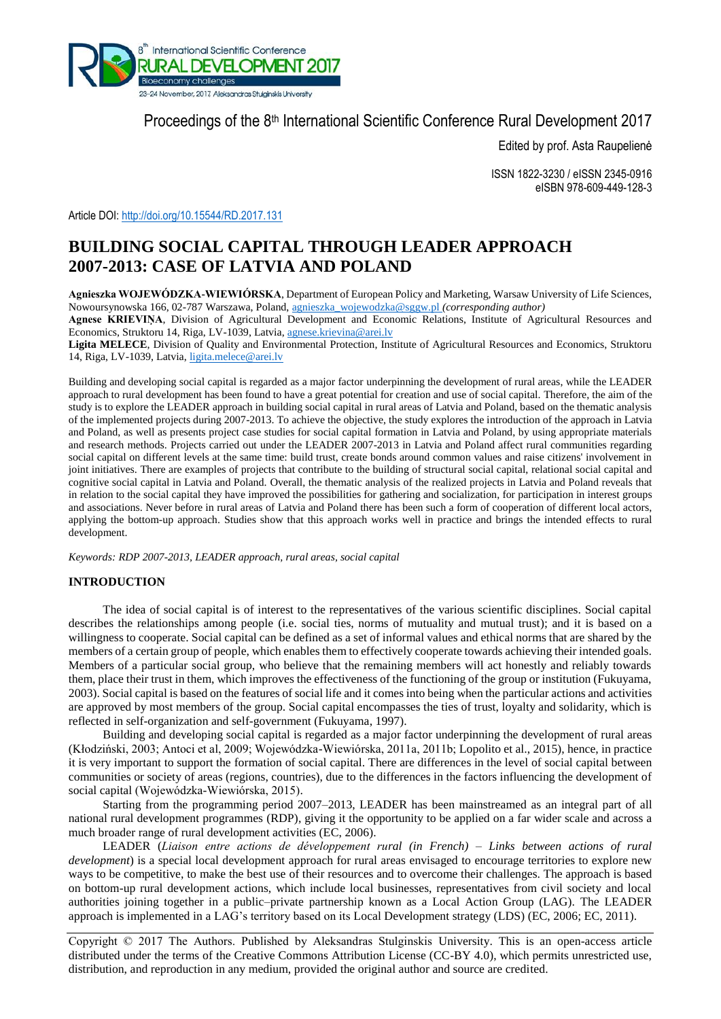

# Proceedings of the 8<sup>th</sup> International Scientific Conference Rural Development 2017

Edited by prof. Asta Raupelienė

ISSN 1822-3230 / eISSN 2345-0916 eISBN 978-609-449-128-3

Article DOI: <http://doi.org/10.15544/RD.2017.131>

# **BUILDING SOCIAL CAPITAL THROUGH LEADER APPROACH 2007-2013: CASE OF LATVIA AND POLAND**

**Agnieszka WOJEWÓDZKA-WIEWIÓRSKA**, Department of European Policy and Marketing, Warsaw University of Life Sciences, Nowoursynowska 166, 02-787 Warszawa, Poland, [agnieszka\\_wojewodzka@sggw.pl](mailto:agnieszka_wojewodzka@sggw.pl) *(corresponding author)*

**Agnese KRIEVIŅA**, Division of Agricultural Development and Economic Relations, Institute of Agricultural Resources and Economics, Struktoru 14, Riga, LV-1039, Latvia[, agnese.krievina@arei.lv](mailto:agnese.krievina@arei.lv)

**Ligita MELECE**, Division of Quality and Environmental Protection, Institute of Agricultural Resources and Economics, Struktoru 14, Riga, LV-1039, Latvia[, ligita.melece@arei.lv](mailto:ligita.melece@arei.lv)

Building and developing social capital is regarded as a major factor underpinning the development of rural areas, while the LEADER approach to rural development has been found to have a great potential for creation and use of social capital. Therefore, the aim of the study is to explore the LEADER approach in building social capital in rural areas of Latvia and Poland, based on the thematic analysis of the implemented projects during 2007-2013. To achieve the objective, the study explores the introduction of the approach in Latvia and Poland, as well as presents project case studies for social capital formation in Latvia and Poland, by using appropriate materials and research methods. Projects carried out under the LEADER 2007-2013 in Latvia and Poland affect rural communities regarding social capital on different levels at the same time: build trust, create bonds around common values and raise citizens' involvement in joint initiatives. There are examples of projects that contribute to the building of structural social capital, relational social capital and cognitive social capital in Latvia and Poland. Overall, the thematic analysis of the realized projects in Latvia and Poland reveals that in relation to the social capital they have improved the possibilities for gathering and socialization, for participation in interest groups and associations. Never before in rural areas of Latvia and Poland there has been such a form of cooperation of different local actors, applying the bottom-up approach. Studies show that this approach works well in practice and brings the intended effects to rural development.

*Keywords: RDP 2007-2013, LEADER approach, rural areas, social capital*

## **INTRODUCTION**

The idea of social capital is of interest to the representatives of the various scientific disciplines. Social capital describes the relationships among people (i.e. social ties, norms of mutuality and mutual trust); and it is based on a willingness to cooperate. Social capital can be defined as a set of informal values and ethical norms that are shared by the members of a certain group of people, which enables them to effectively cooperate towards achieving their intended goals. Members of a particular social group, who believe that the remaining members will act honestly and reliably towards them, place their trust in them, which improves the effectiveness of the functioning of the group or institution (Fukuyama, 2003). Social capital is based on the features of social life and it comes into being when the particular actions and activities are approved by most members of the group. Social capital encompasses the ties of trust, loyalty and solidarity, which is reflected in self-organization and self-government (Fukuyama, 1997).

Building and developing social capital is regarded as a major factor underpinning the development of rural areas (Kłodziński, 2003; Antoci et al, 2009; Wojewódzka-Wiewiórska, 2011a, 2011b; Lopolito et al., 2015), hence, in practice it is very important to support the formation of social capital. There are differences in the level of social capital between communities or society of areas (regions, countries), due to the differences in the factors influencing the development of social capital (Wojewódzka-Wiewiórska, 2015).

Starting from the programming period 2007–2013, LEADER has been mainstreamed as an integral part of all national rural development programmes (RDP), giving it the opportunity to be applied on a far wider scale and across a much broader range of rural development activities (EC, 2006).

LEADER (*Liaison entre actions de développement rural (in French) – Links between actions of rural development*) is a special local development approach for rural areas envisaged to encourage territories to explore new ways to be competitive, to make the best use of their resources and to overcome their challenges. The approach is based on bottom-up rural development actions, which include local businesses, representatives from civil society and local authorities joining together in a public–private partnership known as a Local Action Group (LAG). The LEADER approach is implemented in a LAG's territory based on its Local Development strategy (LDS) (EC, 2006; EC, 2011).

Copyright © 2017 The Authors. Published by Aleksandras Stulginskis University. This is an open-access article distributed under the terms of the Creative Commons Attribution License (CC-BY 4.0), which permits unrestricted use, distribution, and reproduction in any medium, provided the original author and source are credited.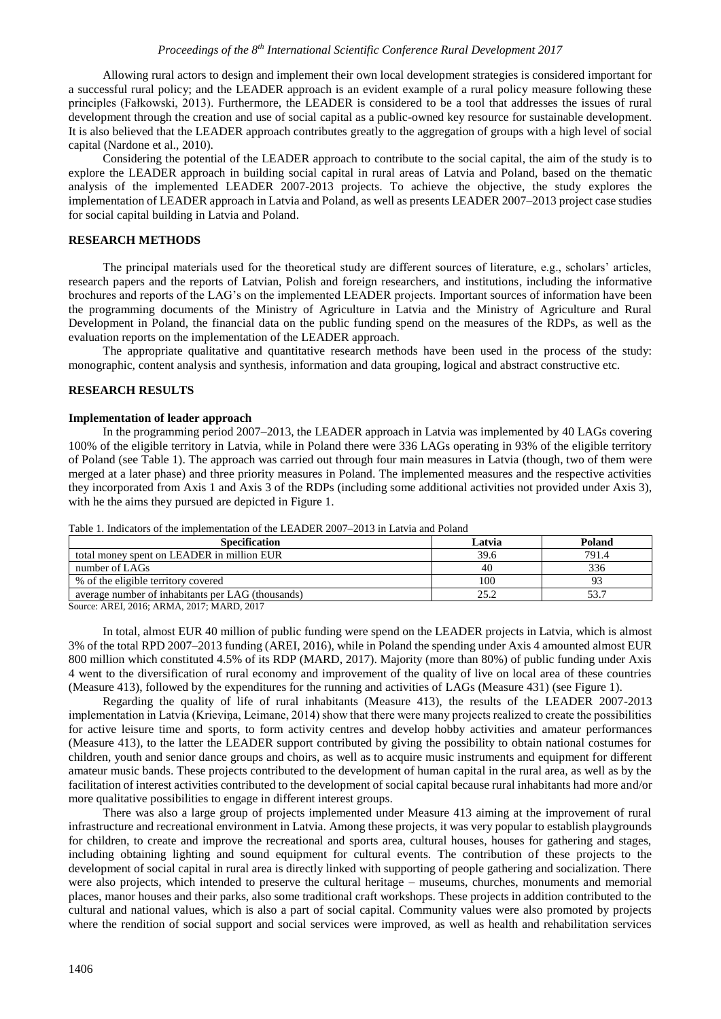## *Proceedings of the 8th International Scientific Conference Rural Development 2017*

Allowing rural actors to design and implement their own local development strategies is considered important for a successful rural policy; and the LEADER approach is an evident example of a rural policy measure following these principles (Fałkowski, 2013). Furthermore, the LEADER is considered to be a tool that addresses the issues of rural development through the creation and use of social capital as a public-owned key resource for sustainable development. It is also believed that the LEADER approach contributes greatly to the aggregation of groups with a high level of social capital (Nardone et al., 2010).

Considering the potential of the LEADER approach to contribute to the social capital, the aim of the study is to explore the LEADER approach in building social capital in rural areas of Latvia and Poland, based on the thematic analysis of the implemented LEADER 2007-2013 projects. To achieve the objective, the study explores the implementation of LEADER approach in Latvia and Poland, as well as presents LEADER 2007–2013 project case studies for social capital building in Latvia and Poland.

## **RESEARCH METHODS**

The principal materials used for the theoretical study are different sources of literature, e.g., scholars' articles, research papers and the reports of Latvian, Polish and foreign researchers, and institutions, including the informative brochures and reports of the LAG's on the implemented LEADER projects. Important sources of information have been the programming documents of the Ministry of Agriculture in Latvia and the Ministry of Agriculture and Rural Development in Poland, the financial data on the public funding spend on the measures of the RDPs, as well as the evaluation reports on the implementation of the LEADER approach.

The appropriate qualitative and quantitative research methods have been used in the process of the study: monographic, content analysis and synthesis, information and data grouping, logical and abstract constructive etc.

## **RESEARCH RESULTS**

## **Implementation of leader approach**

In the programming period 2007–2013, the LEADER approach in Latvia was implemented by 40 LAGs covering 100% of the eligible territory in Latvia, while in Poland there were 336 LAGs operating in 93% of the eligible territory of Poland (see Table 1). The approach was carried out through four main measures in Latvia (though, two of them were merged at a later phase) and three priority measures in Poland. The implemented measures and the respective activities they incorporated from Axis 1 and Axis 3 of the RDPs (including some additional activities not provided under Axis 3), with he the aims they pursued are depicted in Figure 1.

| <b>Specification</b>                              | Latvia | Poland |
|---------------------------------------------------|--------|--------|
| total money spent on LEADER in million EUR        | 39.6   | 791.4  |
| number of LAGs                                    | 40     | 336    |
| % of the eligible territory covered               | 100    |        |
| average number of inhabitants per LAG (thousands) | 25.2   | 53.7   |

Table 1. Indicators of the implementation of the LEADER 2007–2013 in Latvia and Poland

Source: AREI, 2016; ARMA, 2017; MARD, 2017

In total, almost EUR 40 million of public funding were spend on the LEADER projects in Latvia, which is almost 3% of the total RPD 2007–2013 funding (AREI, 2016), while in Poland the spending under Axis 4 amounted almost EUR 800 million which constituted 4.5% of its RDP (MARD, 2017). Majority (more than 80%) of public funding under Axis 4 went to the diversification of rural economy and improvement of the quality of live on local area of these countries (Measure 413), followed by the expenditures for the running and activities of LAGs (Measure 431) (see Figure 1).

Regarding the quality of life of rural inhabitants (Measure 413), the results of the LEADER 2007-2013 implementation in Latvia (Krieviņa, Leimane, 2014) show that there were many projects realized to create the possibilities for active leisure time and sports, to form activity centres and develop hobby activities and amateur performances (Measure 413), to the latter the LEADER support contributed by giving the possibility to obtain national costumes for children, youth and senior dance groups and choirs, as well as to acquire music instruments and equipment for different amateur music bands. These projects contributed to the development of human capital in the rural area, as well as by the facilitation of interest activities contributed to the development of social capital because rural inhabitants had more and/or more qualitative possibilities to engage in different interest groups.

There was also a large group of projects implemented under Measure 413 aiming at the improvement of rural infrastructure and recreational environment in Latvia. Among these projects, it was very popular to establish playgrounds for children, to create and improve the recreational and sports area, cultural houses, houses for gathering and stages, including obtaining lighting and sound equipment for cultural events. The contribution of these projects to the development of social capital in rural area is directly linked with supporting of people gathering and socialization. There were also projects, which intended to preserve the cultural heritage – museums, churches, monuments and memorial places, manor houses and their parks, also some traditional craft workshops. These projects in addition contributed to the cultural and national values, which is also a part of social capital. Community values were also promoted by projects where the rendition of social support and social services were improved, as well as health and rehabilitation services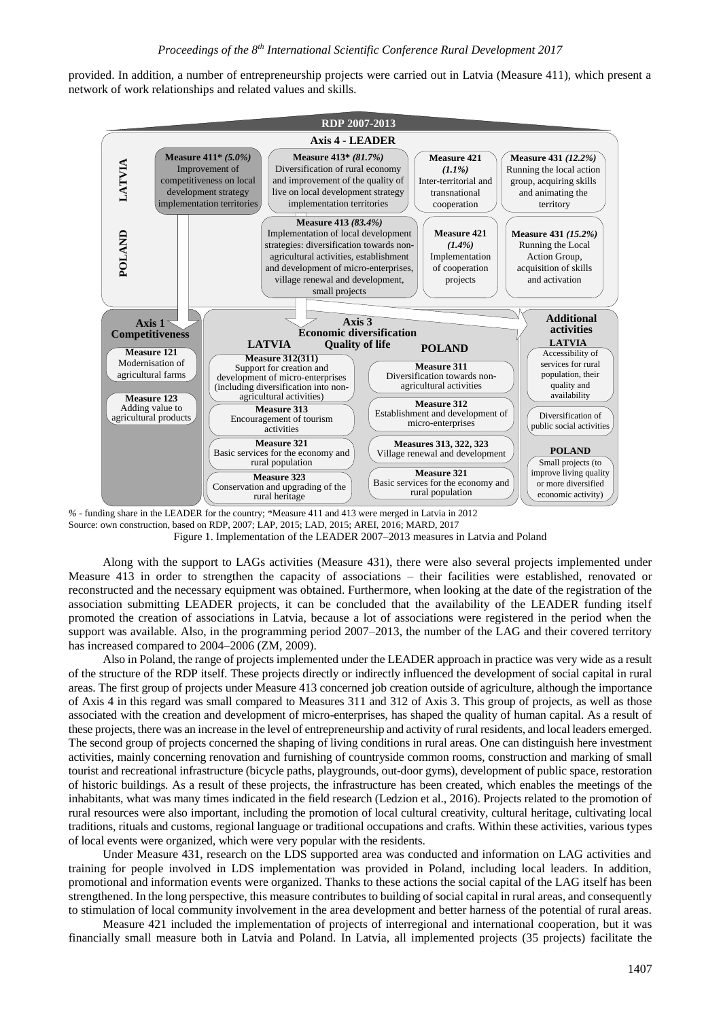provided. In addition, a number of entrepreneurship projects were carried out in Latvia (Measure 411), which present a network of work relationships and related values and skills.



*%* - funding share in the LEADER for the country; \*Measure 411 and 413 were merged in Latvia in 2012 Source: own construction, based on RDP, 2007; LAP, 2015; LAD, 2015; AREI, 2016; MARD, 2017 Figure 1. Implementation of the LEADER 2007–2013 measures in Latvia and Poland

Along with the support to LAGs activities (Measure 431), there were also several projects implemented under Measure 413 in order to strengthen the capacity of associations – their facilities were established, renovated or reconstructed and the necessary equipment was obtained. Furthermore, when looking at the date of the registration of the association submitting LEADER projects, it can be concluded that the availability of the LEADER funding itself promoted the creation of associations in Latvia, because a lot of associations were registered in the period when the support was available. Also, in the programming period 2007–2013, the number of the LAG and their covered territory has increased compared to 2004–2006 (ZM, 2009).

Also in Poland, the range of projects implemented under the LEADER approach in practice was very wide as a result of the structure of the RDP itself. These projects directly or indirectly influenced the development of social capital in rural areas. The first group of projects under Measure 413 concerned job creation outside of agriculture, although the importance of Axis 4 in this regard was small compared to Measures 311 and 312 of Axis 3. This group of projects, as well as those associated with the creation and development of micro-enterprises, has shaped the quality of human capital. As a result of these projects, there was an increase in the level of entrepreneurship and activity of rural residents, and local leaders emerged. The second group of projects concerned the shaping of living conditions in rural areas. One can distinguish here investment activities, mainly concerning renovation and furnishing of countryside common rooms, construction and marking of small tourist and recreational infrastructure (bicycle paths, playgrounds, out-door gyms), development of public space, restoration of historic buildings. As a result of these projects, the infrastructure has been created, which enables the meetings of the inhabitants, what was many times indicated in the field research (Ledzion et al., 2016). Projects related to the promotion of rural resources were also important, including the promotion of local cultural creativity, cultural heritage, cultivating local traditions, rituals and customs, regional language or traditional occupations and crafts. Within these activities, various types of local events were organized, which were very popular with the residents.

Under Measure 431, research on the LDS supported area was conducted and information on LAG activities and training for people involved in LDS implementation was provided in Poland, including local leaders. In addition, promotional and information events were organized. Thanks to these actions the social capital of the LAG itself has been strengthened. In the long perspective, this measure contributes to building of social capital in rural areas, and consequently to stimulation of local community involvement in the area development and better harness of the potential of rural areas.

Measure 421 included the implementation of projects of interregional and international cooperation, but it was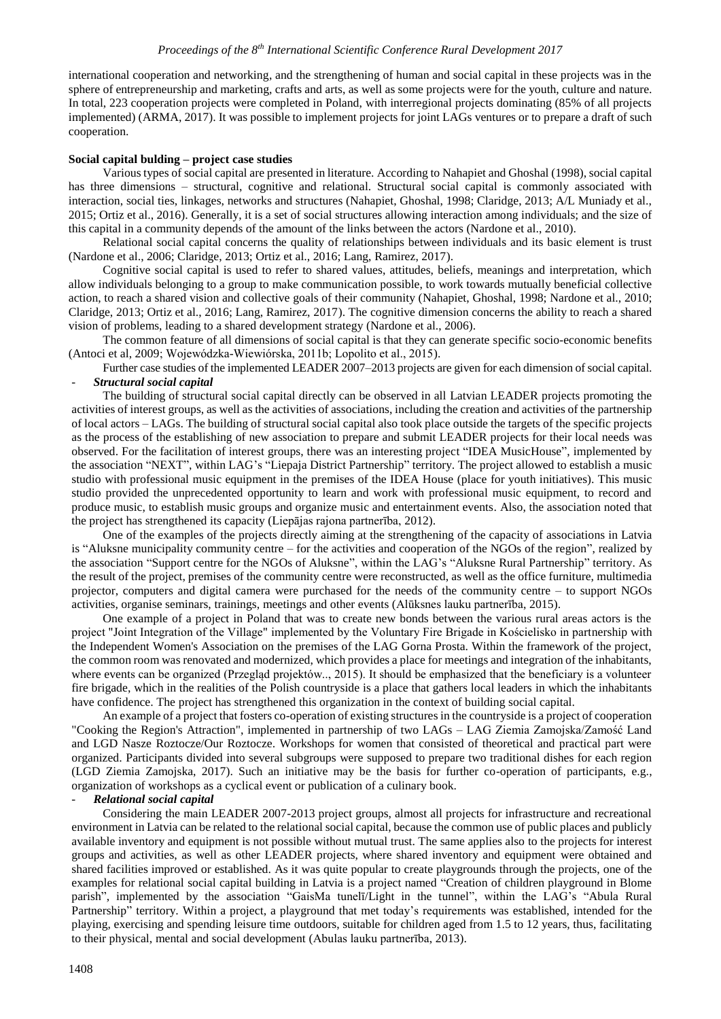international cooperation and networking, and the strengthening of human and social capital in these projects was in the sphere of entrepreneurship and marketing, crafts and arts, as well as some projects were for the youth, culture and nature. In total, 223 cooperation projects were completed in Poland, with interregional projects dominating (85% of all projects implemented) (ARMA, 2017). It was possible to implement projects for joint LAGs ventures or to prepare a draft of such cooperation.

#### **Social capital bulding – project case studies**

Various types of social capital are presented in literature. According to Nahapiet and Ghoshal (1998), social capital has three dimensions – structural, cognitive and relational. Structural social capital is commonly associated with interaction, social ties, linkages, networks and structures (Nahapiet, Ghoshal, 1998; Claridge, 2013; A/L Muniady et al., 2015; Ortiz et al., 2016). Generally, it is a set of social structures allowing interaction among individuals; and the size of this capital in a community depends of the amount of the links between the actors (Nardone et al., 2010).

Relational social capital concerns the quality of relationships between individuals and its basic element is trust (Nardone et al., 2006; Claridge, 2013; Ortiz et al., 2016; Lang, Ramirez, 2017).

Cognitive social capital is used to refer to shared values, attitudes, beliefs, meanings and interpretation, which allow individuals belonging to a group to make communication possible, to work towards mutually beneficial collective action, to reach a shared vision and collective goals of their community (Nahapiet, Ghoshal, 1998; Nardone et al., 2010; Claridge, 2013; Ortiz et al., 2016; Lang, Ramirez, 2017). The cognitive dimension concerns the ability to reach a shared vision of problems, leading to a shared development strategy (Nardone et al., 2006).

The common feature of all dimensions of social capital is that they can generate specific socio-economic benefits (Antoci et al, 2009; Wojewódzka-Wiewiórska, 2011b; Lopolito et al., 2015).

Further case studies of the implemented LEADER 2007–2013 projects are given for each dimension of social capital. - *Structural social capital*

The building of structural social capital directly can be observed in all Latvian LEADER projects promoting the activities of interest groups, as well as the activities of associations, including the creation and activities of the partnership of local actors – LAGs. The building of structural social capital also took place outside the targets of the specific projects as the process of the establishing of new association to prepare and submit LEADER projects for their local needs was observed. For the facilitation of interest groups, there was an interesting project "IDEA MusicHouse", implemented by the association "NEXT", within LAG's "Liepaja District Partnership" territory. The project allowed to establish a music studio with professional music equipment in the premises of the IDEA House (place for youth initiatives). This music studio provided the unprecedented opportunity to learn and work with professional music equipment, to record and produce music, to establish music groups and organize music and entertainment events. Also, the association noted that the project has strengthened its capacity (Liepājas rajona partnerība, 2012).

One of the examples of the projects directly aiming at the strengthening of the capacity of associations in Latvia is "Aluksne municipality community centre – for the activities and cooperation of the NGOs of the region", realized by the association "Support centre for the NGOs of Aluksne", within the LAG's "Aluksne Rural Partnership" territory. As the result of the project, premises of the community centre were reconstructed, as well as the office furniture, multimedia projector, computers and digital camera were purchased for the needs of the community centre – to support NGOs activities, organise seminars, trainings, meetings and other events (Alūksnes lauku partnerība, 2015).

One example of a project in Poland that was to create new bonds between the various rural areas actors is the project "Joint Integration of the Village" implemented by the Voluntary Fire Brigade in Kościelisko in partnership with the Independent Women's Association on the premises of the LAG Gorna Prosta. Within the framework of the project, the common room was renovated and modernized, which provides a place for meetings and integration of the inhabitants, where events can be organized (Przegląd projektów.., 2015). It should be emphasized that the beneficiary is a volunteer fire brigade, which in the realities of the Polish countryside is a place that gathers local leaders in which the inhabitants have confidence. The project has strengthened this organization in the context of building social capital.

An example of a project that fosters co-operation of existing structures in the countryside is a project of cooperation "Cooking the Region's Attraction", implemented in partnership of two LAGs – LAG Ziemia Zamojska/Zamość Land and LGD Nasze Roztocze/Our Roztocze. Workshops for women that consisted of theoretical and practical part were organized. Participants divided into several subgroups were supposed to prepare two traditional dishes for each region (LGD Ziemia Zamojska, 2017). Such an initiative may be the basis for further co-operation of participants, e.g., organization of workshops as a cyclical event or publication of a culinary book.

#### - *Relational social capital*

Considering the main LEADER 2007-2013 project groups, almost all projects for infrastructure and recreational environment in Latvia can be related to the relational social capital, because the common use of public places and publicly available inventory and equipment is not possible without mutual trust. The same applies also to the projects for interest groups and activities, as well as other LEADER projects, where shared inventory and equipment were obtained and shared facilities improved or established. As it was quite popular to create playgrounds through the projects, one of the examples for relational social capital building in Latvia is a project named "Creation of children playground in Blome parish", implemented by the association "GaisMa tunelī/Light in the tunnel", within the LAG's "Abula Rural Partnership" territory. Within a project, a playground that met today's requirements was established, intended for the playing, exercising and spending leisure time outdoors, suitable for children aged from 1.5 to 12 years, thus, facilitating to their physical, mental and social development (Abulas lauku partnerība, 2013).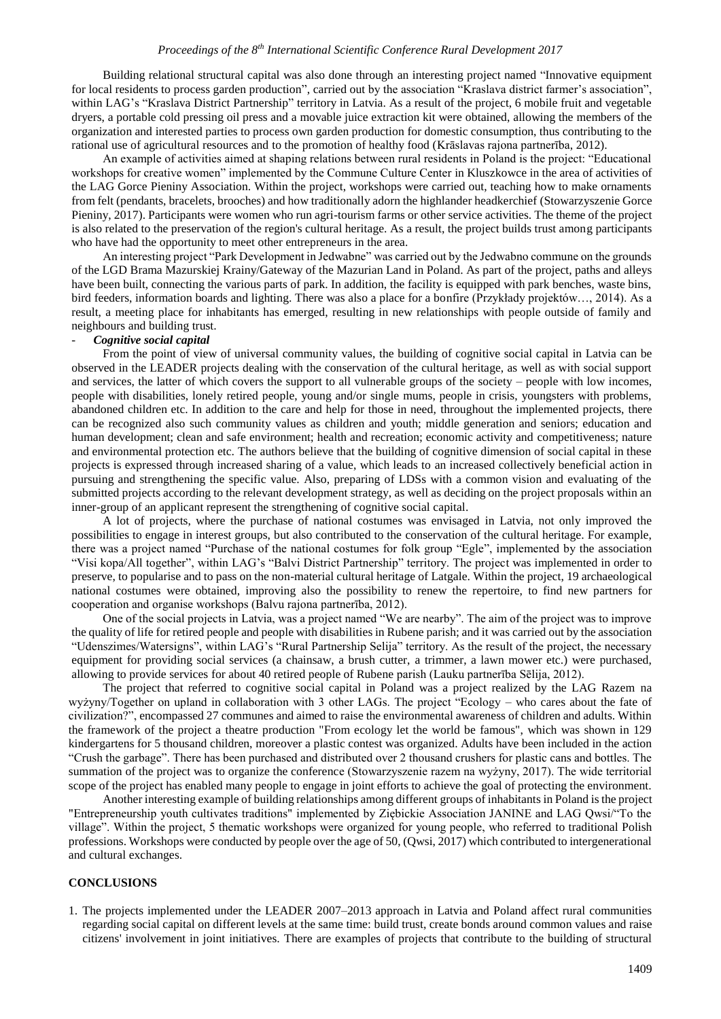Building relational structural capital was also done through an interesting project named "Innovative equipment for local residents to process garden production", carried out by the association "Kraslava district farmer's association", within LAG's "Kraslava District Partnership" territory in Latvia. As a result of the project, 6 mobile fruit and vegetable dryers, a portable cold pressing oil press and a movable juice extraction kit were obtained, allowing the members of the organization and interested parties to process own garden production for domestic consumption, thus contributing to the rational use of agricultural resources and to the promotion of healthy food (Krāslavas rajona partnerība, 2012).

An example of activities aimed at shaping relations between rural residents in Poland is the project: "Educational workshops for creative women" implemented by the Commune Culture Center in Kluszkowce in the area of activities of the LAG Gorce Pieniny Association. Within the project, workshops were carried out, teaching how to make ornaments from felt (pendants, bracelets, brooches) and how traditionally adorn the highlander headkerchief (Stowarzyszenie Gorce Pieniny, 2017). Participants were women who run agri-tourism farms or other service activities. The theme of the project is also related to the preservation of the region's cultural heritage. As a result, the project builds trust among participants who have had the opportunity to meet other entrepreneurs in the area.

An interesting project "Park Development in Jedwabne" was carried out by the Jedwabno commune on the grounds of the LGD Brama Mazurskiej Krainy/Gateway of the Mazurian Land in Poland. As part of the project, paths and alleys have been built, connecting the various parts of park. In addition, the facility is equipped with park benches, waste bins, bird feeders, information boards and lighting. There was also a place for a bonfire (Przykłady projektów…, 2014). As a result, a meeting place for inhabitants has emerged, resulting in new relationships with people outside of family and neighbours and building trust.

## - *Cognitive social capital*

From the point of view of universal community values, the building of cognitive social capital in Latvia can be observed in the LEADER projects dealing with the conservation of the cultural heritage, as well as with social support and services, the latter of which covers the support to all vulnerable groups of the society – people with low incomes, people with disabilities, lonely retired people, young and/or single mums, people in crisis, youngsters with problems, abandoned children etc. In addition to the care and help for those in need, throughout the implemented projects, there can be recognized also such community values as children and youth; middle generation and seniors; education and human development; clean and safe environment; health and recreation; economic activity and competitiveness; nature and environmental protection etc. The authors believe that the building of cognitive dimension of social capital in these projects is expressed through increased sharing of a value, which leads to an increased collectively beneficial action in pursuing and strengthening the specific value. Also, preparing of LDSs with a common vision and evaluating of the submitted projects according to the relevant development strategy, as well as deciding on the project proposals within an inner-group of an applicant represent the strengthening of cognitive social capital.

A lot of projects, where the purchase of national costumes was envisaged in Latvia, not only improved the possibilities to engage in interest groups, but also contributed to the conservation of the cultural heritage. For example, there was a project named "Purchase of the national costumes for folk group "Egle", implemented by the association "Visi kopa/All together", within LAG's "Balvi District Partnership" territory. The project was implemented in order to preserve, to popularise and to pass on the non-material cultural heritage of Latgale. Within the project, 19 archaeological national costumes were obtained, improving also the possibility to renew the repertoire, to find new partners for cooperation and organise workshops (Balvu rajona partnerība, 2012).

One of the social projects in Latvia, was a project named "We are nearby". The aim of the project was to improve the quality of life for retired people and people with disabilities in Rubene parish; and it was carried out by the association "Udenszimes/Watersigns", within LAG's "Rural Partnership Selija" territory. As the result of the project, the necessary equipment for providing social services (a chainsaw, a brush cutter, a trimmer, a lawn mower etc.) were purchased, allowing to provide services for about 40 retired people of Rubene parish (Lauku partnerība Sēlija, 2012).

The project that referred to cognitive social capital in Poland was a project realized by the LAG Razem na wyżyny/Together on upland in collaboration with 3 other LAGs. The project "Ecology – who cares about the fate of civilization?", encompassed 27 communes and aimed to raise the environmental awareness of children and adults. Within the framework of the project a theatre production "From ecology let the world be famous", which was shown in 129 kindergartens for 5 thousand children, moreover a plastic contest was organized. Adults have been included in the action "Crush the garbage". There has been purchased and distributed over 2 thousand crushers for plastic cans and bottles. The summation of the project was to organize the conference (Stowarzyszenie razem na wyżyny, 2017). The wide territorial scope of the project has enabled many people to engage in joint efforts to achieve the goal of protecting the environment.

Another interesting example of building relationships among different groups of inhabitants in Poland is the project "Entrepreneurship youth cultivates traditions" implemented by Ziębickie Association JANINE and LAG Qwsi/"To the village". Within the project, 5 thematic workshops were organized for young people, who referred to traditional Polish professions. Workshops were conducted by people over the age of 50, (Qwsi, 2017) which contributed to intergenerational and cultural exchanges.

# **CONCLUSIONS**

1. The projects implemented under the LEADER 2007–2013 approach in Latvia and Poland affect rural communities regarding social capital on different levels at the same time: build trust, create bonds around common values and raise citizens' involvement in joint initiatives. There are examples of projects that contribute to the building of structural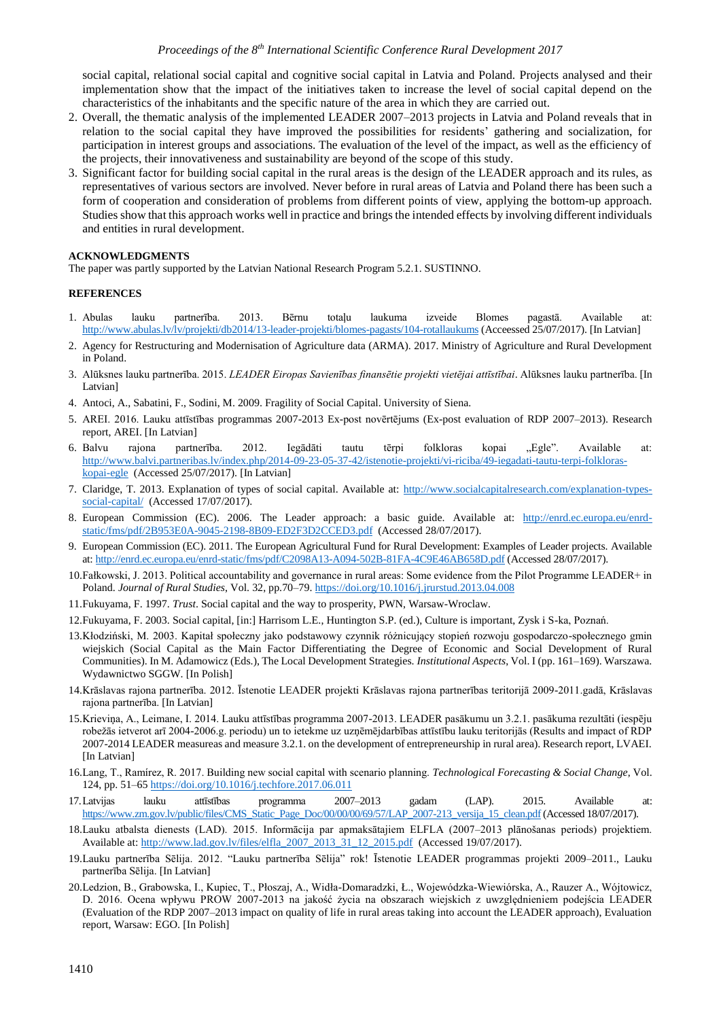social capital, relational social capital and cognitive social capital in Latvia and Poland. Projects analysed and their implementation show that the impact of the initiatives taken to increase the level of social capital depend on the characteristics of the inhabitants and the specific nature of the area in which they are carried out.

- 2. Overall, the thematic analysis of the implemented LEADER 2007–2013 projects in Latvia and Poland reveals that in relation to the social capital they have improved the possibilities for residents' gathering and socialization, for participation in interest groups and associations. The evaluation of the level of the impact, as well as the efficiency of the projects, their innovativeness and sustainability are beyond of the scope of this study.
- 3. Significant factor for building social capital in the rural areas is the design of the LEADER approach and its rules, as representatives of various sectors are involved. Never before in rural areas of Latvia and Poland there has been such a form of cooperation and consideration of problems from different points of view, applying the bottom-up approach. Studies show that this approach works well in practice and brings the intended effects by involving different individuals and entities in rural development.

## **ACKNOWLEDGMENTS**

The paper was partly supported by the Latvian National Research Program 5.2.1. SUSTINNO.

### **REFERENCES**

- 1. Abulas lauku partnerība. 2013. Bērnu totaļu laukuma izveide Blomes pagastā. Available at: <http://www.abulas.lv/lv/projekti/db2014/13-leader-projekti/blomes-pagasts/104-rotallaukums> (Acceessed 25/07/2017). [In Latvian]
- 2. Agency for Restructuring and Modernisation of Agriculture data (ARMA). 2017. Ministry of Agriculture and Rural Development in Poland.
- 3. Alūksnes lauku partnerība. 2015. *LEADER Eiropas Savienības finansētie projekti vietējai attīstībai*. Alūksnes lauku partnerība. [In Latvian]
- 4. Antoci, A., Sabatini, F., Sodini, M. 2009. Fragility of Social Capital. University of Siena.
- 5. AREI. 2016. Lauku attīstības programmas 2007-2013 Ex-post novērtējums (Ex-post evaluation of RDP 2007–2013). Research report, AREI. [In Latvian]
- 6. Balvu rajona partnerība. 2012. Iegādāti tautu tērpi folkloras kopai "Egle". Available at: [http://www.balvi.partneribas.lv/index.php/2014-09-23-05-37-42/istenotie-projekti/vi-riciba/49-iegadati-tautu-terpi-folkloras](http://www.balvi.partneribas.lv/index.php/2014-09-23-05-37-42/istenotie-projekti/vi-riciba/49-iegadati-tautu-terpi-folkloras-kopai-egle)[kopai-egle](http://www.balvi.partneribas.lv/index.php/2014-09-23-05-37-42/istenotie-projekti/vi-riciba/49-iegadati-tautu-terpi-folkloras-kopai-egle) (Accessed 25/07/2017). [In Latvian]
- 7. Claridge, T. 2013. Explanation of types of social capital. Available at: [http://www.socialcapitalresearch.com/explanation-types](http://www.socialcapitalresearch.com/explanation-types-social-capital/)[social-capital/](http://www.socialcapitalresearch.com/explanation-types-social-capital/) (Accessed 17/07/2017).
- 8. European Commission (EC). 2006. The Leader approach: a basic guide. Available at: [http://enrd.ec.europa.eu/enrd](http://enrd.ec.europa.eu/enrd-static/fms/pdf/2B953E0A-9045-2198-8B09-ED2F3D2CCED3.pdf)[static/fms/pdf/2B953E0A-9045-2198-8B09-ED2F3D2CCED3.pdf](http://enrd.ec.europa.eu/enrd-static/fms/pdf/2B953E0A-9045-2198-8B09-ED2F3D2CCED3.pdf) (Accessed 28/07/2017).
- 9. European Commission (EC). 2011. The European Agricultural Fund for Rural Development: Examples of Leader projects. Available at:<http://enrd.ec.europa.eu/enrd-static/fms/pdf/C2098A13-A094-502B-81FA-4C9E46AB658D.pdf> (Accessed 28/07/2017).
- 10.Fałkowski, J. 2013. Political accountability and governance in rural areas: Some evidence from the Pilot Programme LEADER+ in Poland. *Journal of Rural Studies*, Vol. 32, pp.70–79. <https://doi.org/10.1016/j.jrurstud.2013.04.008>
- 11.Fukuyama, F. 1997. *Trust*. Social capital and the way to prosperity, PWN, Warsaw-Wroclaw.
- 12.Fukuyama, F. 2003. Social capital, [in:] Harrisom L.E., Huntington S.P. (ed.), Culture is important, Zysk i S-ka, Poznań.
- 13.Kłodziński, M. 2003. Kapitał społeczny jako podstawowy czynnik różnicujący stopień rozwoju gospodarczo-społecznego gmin wiejskich (Social Capital as the Main Factor Differentiating the Degree of Economic and Social Development of Rural Communities). In M. Adamowicz (Eds.), The Local Development Strategies. *Institutional Aspects*, Vol. I (pp. 161–169). Warszawa. Wydawnictwo SGGW. [In Polish]
- 14.Krāslavas rajona partnerība. 2012. Īstenotie LEADER projekti Krāslavas rajona partnerības teritorijā 2009-2011.gadā, Krāslavas rajona partnerība. [In Latvian]
- 15.Krieviņa, A., Leimane, I. 2014. Lauku attīstības programma 2007-2013. LEADER pasākumu un 3.2.1. pasākuma rezultāti (iespēju robežās ietverot arī 2004-2006.g. periodu) un to ietekme uz uzņēmējdarbības attīstību lauku teritorijās (Results and impact of RDP 2007-2014 LEADER measureas and measure 3.2.1. on the development of entrepreneurship in rural area). Research report, LVAEI. [In Latvian]
- 16.Lang, T., Ramírez, R. 2017. Building new social capital with scenario planning. *Technological Forecasting & Social Change*, Vol. 124, pp. 51–6[5 https://doi.org/10.1016/j.techfore.2017.06.011](https://doi.org/10.1016/j.techfore.2017.06.011)
- 17.Latvijas lauku attīstības programma 2007–2013 gadam (LAP). 2015. Available at: https://www.zm.gov.lv/public/files/CMS\_Static\_Page\_Doc/00/00/69/57/LAP\_2007-213\_versija\_15\_clean.pdf (Accessed 18/07/2017).
- 18.Lauku atbalsta dienests (LAD). 2015. Informācija par apmaksātajiem ELFLA (2007–2013 plānošanas periods) projektiem. Available at[: http://www.lad.gov.lv/files/elfla\\_2007\\_2013\\_31\\_12\\_2015.pdf](http://www.lad.gov.lv/files/elfla_2007_2013_31_12_2015.pdf) (Accessed 19/07/2017).
- 19.Lauku partnerība Sēlija. 2012. "Lauku partnerība Sēlija" rok! Īstenotie LEADER programmas projekti 2009–2011., Lauku partnerība Sēlija. [In Latvian]
- 20.Ledzion, B., Grabowska, I., Kupiec, T., Płoszaj, A., Widła-Domaradzki, Ł., Wojewódzka-Wiewiórska, A., Rauzer A., Wójtowicz, D. 2016. Ocena wpływu PROW 2007-2013 na jakość życia na obszarach wiejskich z uwzględnieniem podejścia LEADER (Evaluation of the RDP 2007–2013 impact on quality of life in rural areas taking into account the LEADER approach), Evaluation report, Warsaw: EGO. [In Polish]